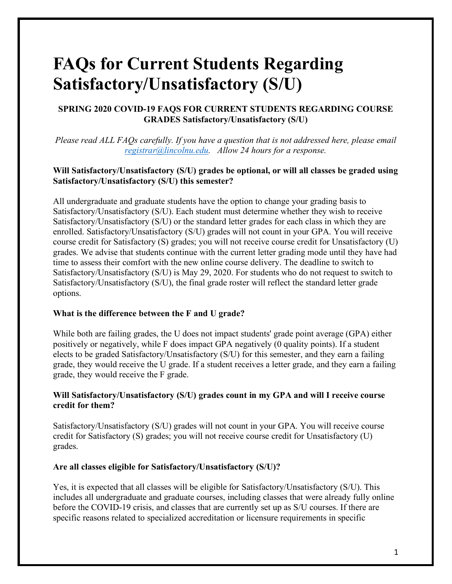# **FAQs for Current Students Regarding Satisfactory/Unsatisfactory (S/U)**

# **SPRING 2020 COVID-19 FAQS FOR CURRENT STUDENTS REGARDING COURSE GRADES Satisfactory/Unsatisfactory (S/U)**

*Please read ALL FAQs carefully. If you have a question that is not addressed here, please email registrar@lincolnu.edu. Allow 24 hours for a response.*

### **Will Satisfactory/Unsatisfactory (S/U) grades be optional, or will all classes be graded using Satisfactory/Unsatisfactory (S/U) this semester?**

All undergraduate and graduate students have the option to change your grading basis to Satisfactory/Unsatisfactory (S/U). Each student must determine whether they wish to receive Satisfactory/Unsatisfactory (S/U) or the standard letter grades for each class in which they are enrolled. Satisfactory/Unsatisfactory (S/U) grades will not count in your GPA. You will receive course credit for Satisfactory (S) grades; you will not receive course credit for Unsatisfactory (U) grades. We advise that students continue with the current letter grading mode until they have had time to assess their comfort with the new online course delivery. The deadline to switch to Satisfactory/Unsatisfactory (S/U) is May 29, 2020. For students who do not request to switch to Satisfactory/Unsatisfactory (S/U), the final grade roster will reflect the standard letter grade options.

# **What is the difference between the F and U grade?**

While both are failing grades, the U does not impact students' grade point average (GPA) either positively or negatively, while F does impact GPA negatively (0 quality points). If a student elects to be graded Satisfactory/Unsatisfactory (S/U) for this semester, and they earn a failing grade, they would receive the U grade. If a student receives a letter grade, and they earn a failing grade, they would receive the F grade.

#### **Will Satisfactory/Unsatisfactory (S/U) grades count in my GPA and will I receive course credit for them?**

Satisfactory/Unsatisfactory (S/U) grades will not count in your GPA. You will receive course credit for Satisfactory (S) grades; you will not receive course credit for Unsatisfactory (U) grades.

#### **Are all classes eligible for Satisfactory/Unsatisfactory (S/U)?**

Yes, it is expected that all classes will be eligible for Satisfactory/Unsatisfactory (S/U). This includes all undergraduate and graduate courses, including classes that were already fully online before the COVID-19 crisis, and classes that are currently set up as S/U courses. If there are specific reasons related to specialized accreditation or licensure requirements in specific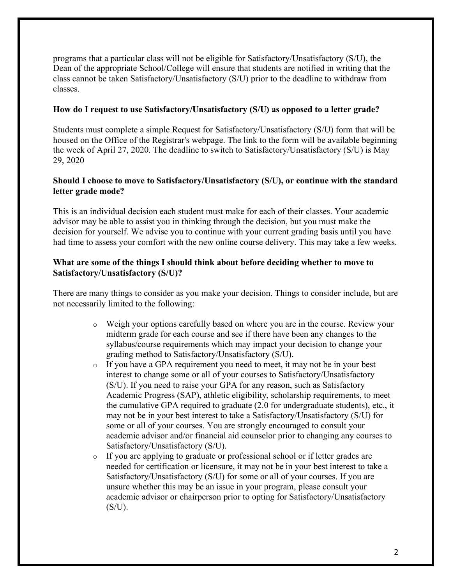programs that a particular class will not be eligible for Satisfactory/Unsatisfactory (S/U), the Dean of the appropriate School/College will ensure that students are notified in writing that the class cannot be taken Satisfactory/Unsatisfactory (S/U) prior to the deadline to withdraw from classes.

#### **How do I request to use Satisfactory/Unsatisfactory (S/U) as opposed to a letter grade?**

Students must complete a simple Request for Satisfactory/Unsatisfactory (S/U) form that will be housed on the Office of the Registrar's webpage. The link to the form will be available beginning the week of April 27, 2020. The deadline to switch to Satisfactory/Unsatisfactory (S/U) is May 29, 2020

#### **Should I choose to move to Satisfactory/Unsatisfactory (S/U), or continue with the standard letter grade mode?**

This is an individual decision each student must make for each of their classes. Your academic advisor may be able to assist you in thinking through the decision, but you must make the decision for yourself. We advise you to continue with your current grading basis until you have had time to assess your comfort with the new online course delivery. This may take a few weeks.

#### **What are some of the things I should think about before deciding whether to move to Satisfactory/Unsatisfactory (S/U)?**

There are many things to consider as you make your decision. Things to consider include, but are not necessarily limited to the following:

- o Weigh your options carefully based on where you are in the course. Review your midterm grade for each course and see if there have been any changes to the syllabus/course requirements which may impact your decision to change your grading method to Satisfactory/Unsatisfactory (S/U).
- o If you have a GPA requirement you need to meet, it may not be in your best interest to change some or all of your courses to Satisfactory/Unsatisfactory (S/U). If you need to raise your GPA for any reason, such as Satisfactory Academic Progress (SAP), athletic eligibility, scholarship requirements, to meet the cumulative GPA required to graduate (2.0 for undergraduate students), etc., it may not be in your best interest to take a Satisfactory/Unsatisfactory (S/U) for some or all of your courses. You are strongly encouraged to consult your academic advisor and/or financial aid counselor prior to changing any courses to Satisfactory/Unsatisfactory (S/U).
- o If you are applying to graduate or professional school or if letter grades are needed for certification or licensure, it may not be in your best interest to take a Satisfactory/Unsatisfactory (S/U) for some or all of your courses. If you are unsure whether this may be an issue in your program, please consult your academic advisor or chairperson prior to opting for Satisfactory/Unsatisfactory  $(S/U)$ .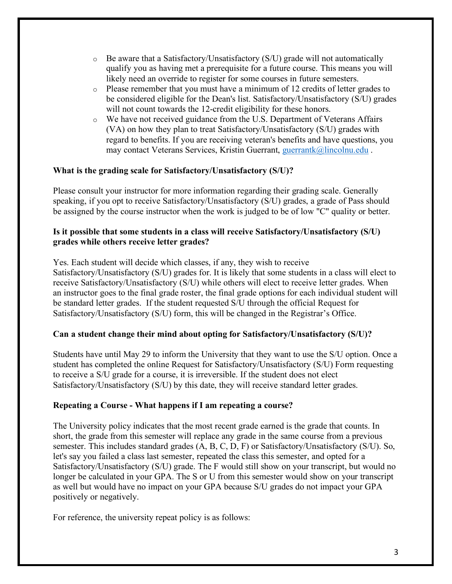- $\circ$  Be aware that a Satisfactory/Unsatisfactory (S/U) grade will not automatically qualify you as having met a prerequisite for a future course. This means you will likely need an override to register for some courses in future semesters.
- $\circ$  Please remember that you must have a minimum of 12 credits of letter grades to be considered eligible for the Dean's list. Satisfactory/Unsatisfactory (S/U) grades will not count towards the 12-credit eligibility for these honors.
- o We have not received guidance from the U.S. Department of Veterans Affairs (VA) on how they plan to treat Satisfactory/Unsatisfactory (S/U) grades with regard to benefits. If you are receiving veteran's benefits and have questions, you may contact Veterans Services, Kristin Guerrant, guerrantk@lincolnu.edu.

# **What is the grading scale for Satisfactory/Unsatisfactory (S/U)?**

Please consult your instructor for more information regarding their grading scale. Generally speaking, if you opt to receive Satisfactory/Unsatisfactory (S/U) grades, a grade of Pass should be assigned by the course instructor when the work is judged to be of low "C" quality or better.

# **Is it possible that some students in a class will receive Satisfactory/Unsatisfactory (S/U) grades while others receive letter grades?**

Yes. Each student will decide which classes, if any, they wish to receive Satisfactory/Unsatisfactory (S/U) grades for. It is likely that some students in a class will elect to receive Satisfactory/Unsatisfactory (S/U) while others will elect to receive letter grades. When an instructor goes to the final grade roster, the final grade options for each individual student will be standard letter grades. If the student requested S/U through the official Request for Satisfactory/Unsatisfactory (S/U) form, this will be changed in the Registrar's Office.

# **Can a student change their mind about opting for Satisfactory/Unsatisfactory (S/U)?**

Students have until May 29 to inform the University that they want to use the S/U option. Once a student has completed the online Request for Satisfactory/Unsatisfactory (S/U) Form requesting to receive a S/U grade for a course, it is irreversible. If the student does not elect Satisfactory/Unsatisfactory (S/U) by this date, they will receive standard letter grades.

# **Repeating a Course - What happens if I am repeating a course?**

The University policy indicates that the most recent grade earned is the grade that counts. In short, the grade from this semester will replace any grade in the same course from a previous semester. This includes standard grades (A, B, C, D, F) or Satisfactory/Unsatisfactory (S/U). So, let's say you failed a class last semester, repeated the class this semester, and opted for a Satisfactory/Unsatisfactory (S/U) grade. The F would still show on your transcript, but would no longer be calculated in your GPA. The S or U from this semester would show on your transcript as well but would have no impact on your GPA because S/U grades do not impact your GPA positively or negatively.

For reference, the university repeat policy is as follows: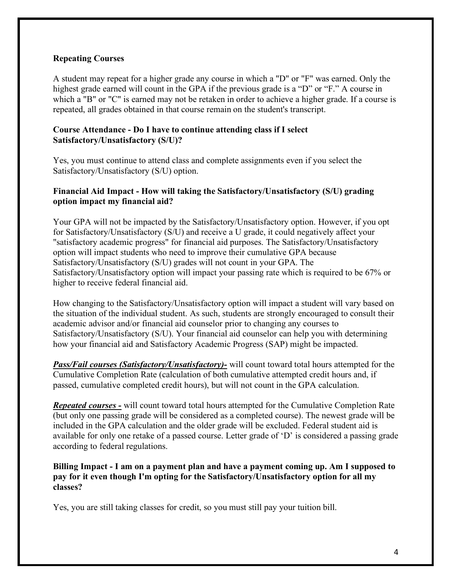### **Repeating Courses**

A student may repeat for a higher grade any course in which a "D" or "F" was earned. Only the highest grade earned will count in the GPA if the previous grade is a "D" or "F." A course in which a "B" or "C" is earned may not be retaken in order to achieve a higher grade. If a course is repeated, all grades obtained in that course remain on the student's transcript.

# **Course Attendance - Do I have to continue attending class if I select Satisfactory/Unsatisfactory (S/U)?**

Yes, you must continue to attend class and complete assignments even if you select the Satisfactory/Unsatisfactory (S/U) option.

#### **Financial Aid Impact - How will taking the Satisfactory/Unsatisfactory (S/U) grading option impact my financial aid?**

Your GPA will not be impacted by the Satisfactory/Unsatisfactory option. However, if you opt for Satisfactory/Unsatisfactory (S/U) and receive a U grade, it could negatively affect your "satisfactory academic progress" for financial aid purposes. The Satisfactory/Unsatisfactory option will impact students who need to improve their cumulative GPA because Satisfactory/Unsatisfactory (S/U) grades will not count in your GPA. The Satisfactory/Unsatisfactory option will impact your passing rate which is required to be 67% or higher to receive federal financial aid.

How changing to the Satisfactory/Unsatisfactory option will impact a student will vary based on the situation of the individual student. As such, students are strongly encouraged to consult their academic advisor and/or financial aid counselor prior to changing any courses to Satisfactory/Unsatisfactory (S/U). Your financial aid counselor can help you with determining how your financial aid and Satisfactory Academic Progress (SAP) might be impacted.

*Pass/Fail courses (Satisfactory/Unsatisfactory)-* will count toward total hours attempted for the Cumulative Completion Rate (calculation of both cumulative attempted credit hours and, if passed, cumulative completed credit hours), but will not count in the GPA calculation.

*Repeated courses -* will count toward total hours attempted for the Cumulative Completion Rate (but only one passing grade will be considered as a completed course). The newest grade will be included in the GPA calculation and the older grade will be excluded. Federal student aid is available for only one retake of a passed course. Letter grade of 'D' is considered a passing grade according to federal regulations.

**Billing Impact - I am on a payment plan and have a payment coming up. Am I supposed to pay for it even though I'm opting for the Satisfactory/Unsatisfactory option for all my classes?**

Yes, you are still taking classes for credit, so you must still pay your tuition bill.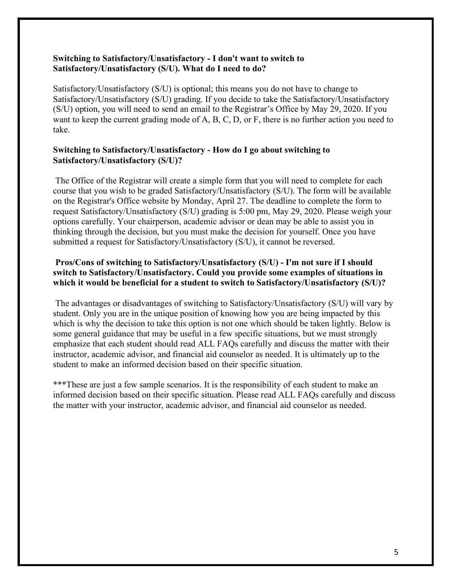#### **Switching to Satisfactory/Unsatisfactory - I don't want to switch to Satisfactory/Unsatisfactory (S/U). What do I need to do?**

Satisfactory/Unsatisfactory (S/U) is optional; this means you do not have to change to Satisfactory/Unsatisfactory (S/U) grading. If you decide to take the Satisfactory/Unsatisfactory (S/U) option, you will need to send an email to the Registrar's Office by May 29, 2020. If you want to keep the current grading mode of A, B, C, D, or F, there is no further action you need to take.

# **Switching to Satisfactory/Unsatisfactory - How do I go about switching to Satisfactory/Unsatisfactory (S/U)?**

The Office of the Registrar will create a simple form that you will need to complete for each course that you wish to be graded Satisfactory/Unsatisfactory (S/U). The form will be available on the Registrar's Office website by Monday, April 27. The deadline to complete the form to request Satisfactory/Unsatisfactory (S/U) grading is 5:00 pm, May 29, 2020. Please weigh your options carefully. Your chairperson, academic advisor or dean may be able to assist you in thinking through the decision, but you must make the decision for yourself. Once you have submitted a request for Satisfactory/Unsatisfactory (S/U), it cannot be reversed.

# **Pros/Cons of switching to Satisfactory/Unsatisfactory (S/U) - I'm not sure if I should switch to Satisfactory/Unsatisfactory. Could you provide some examples of situations in which it would be beneficial for a student to switch to Satisfactory/Unsatisfactory (S/U)?**

The advantages or disadvantages of switching to Satisfactory/Unsatisfactory (S/U) will vary by student. Only you are in the unique position of knowing how you are being impacted by this which is why the decision to take this option is not one which should be taken lightly. Below is some general guidance that may be useful in a few specific situations, but we must strongly emphasize that each student should read ALL FAQs carefully and discuss the matter with their instructor, academic advisor, and financial aid counselor as needed. It is ultimately up to the student to make an informed decision based on their specific situation.

\*\*\*These are just a few sample scenarios. It is the responsibility of each student to make an informed decision based on their specific situation. Please read ALL FAQs carefully and discuss the matter with your instructor, academic advisor, and financial aid counselor as needed.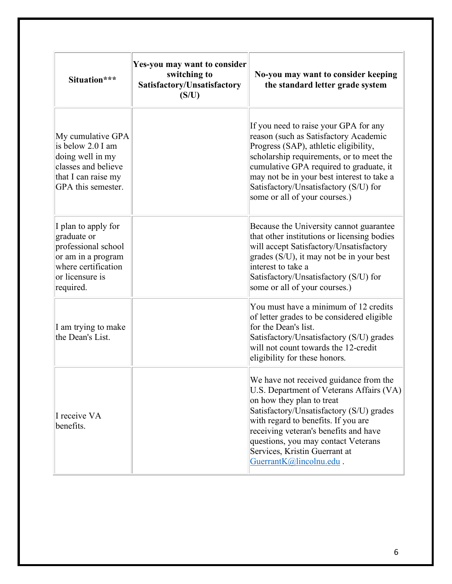| Situation***                                                                                                                           | Yes-you may want to consider<br>switching to<br>Satisfactory/Unsatisfactory<br>(S/U) | No-you may want to consider keeping<br>the standard letter grade system                                                                                                                                                                                                                                                                        |
|----------------------------------------------------------------------------------------------------------------------------------------|--------------------------------------------------------------------------------------|------------------------------------------------------------------------------------------------------------------------------------------------------------------------------------------------------------------------------------------------------------------------------------------------------------------------------------------------|
| My cumulative GPA<br>is below 2.0 I am<br>doing well in my<br>classes and believe<br>that I can raise my<br>GPA this semester.         |                                                                                      | If you need to raise your GPA for any<br>reason (such as Satisfactory Academic<br>Progress (SAP), athletic eligibility,<br>scholarship requirements, or to meet the<br>cumulative GPA required to graduate, it<br>may not be in your best interest to take a<br>Satisfactory/Unsatisfactory (S/U) for<br>some or all of your courses.)         |
| I plan to apply for<br>graduate or<br>professional school<br>or am in a program<br>where certification<br>or licensure is<br>required. |                                                                                      | Because the University cannot guarantee<br>that other institutions or licensing bodies<br>will accept Satisfactory/Unsatisfactory<br>grades (S/U), it may not be in your best<br>interest to take a<br>Satisfactory/Unsatisfactory (S/U) for<br>some or all of your courses.)                                                                  |
| I am trying to make<br>the Dean's List.                                                                                                |                                                                                      | You must have a minimum of 12 credits<br>of letter grades to be considered eligible<br>for the Dean's list.<br>Satisfactory/Unsatisfactory (S/U) grades<br>will not count towards the 12-credit<br>eligibility for these honors.                                                                                                               |
| I receive VA<br>benefits.                                                                                                              |                                                                                      | We have not received guidance from the<br>U.S. Department of Veterans Affairs (VA)<br>on how they plan to treat<br>Satisfactory/Unsatisfactory (S/U) grades<br>with regard to benefits. If you are<br>receiving veteran's benefits and have<br>questions, you may contact Veterans<br>Services, Kristin Guerrant at<br>GuerrantK@lincolnu.edu. |